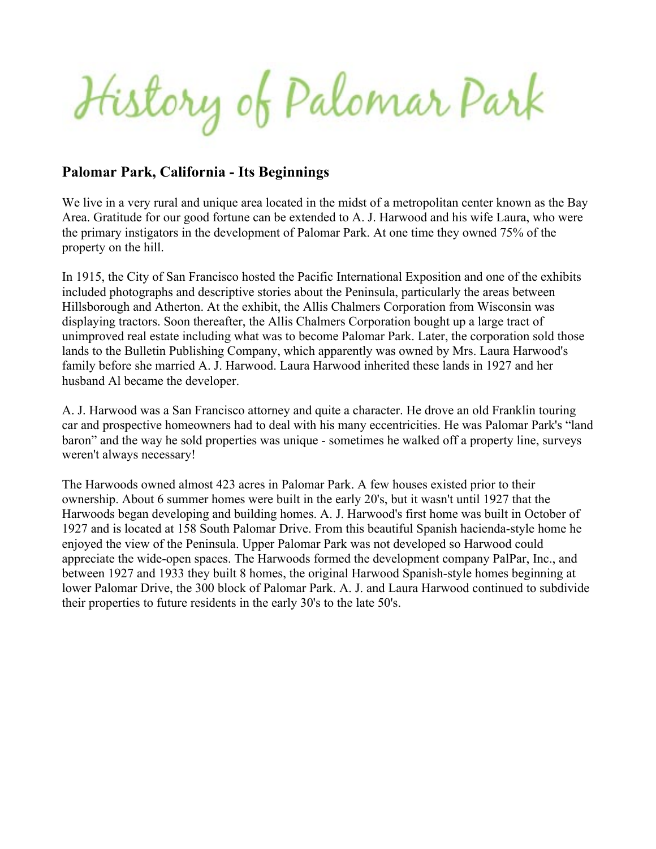History of Palomar Park

#### **Palomar Park, California - Its Beginnings**

We live in a very rural and unique area located in the midst of a metropolitan center known as the Bay Area. Gratitude for our good fortune can be extended to A. J. Harwood and his wife Laura, who were the primary instigators in the development of Palomar Park. At one time they owned 75% of the property on the hill.

In 1915, the City of San Francisco hosted the Pacific International Exposition and one of the exhibits included photographs and descriptive stories about the Peninsula, particularly the areas between Hillsborough and Atherton. At the exhibit, the Allis Chalmers Corporation from Wisconsin was displaying tractors. Soon thereafter, the Allis Chalmers Corporation bought up a large tract of unimproved real estate including what was to become Palomar Park. Later, the corporation sold those lands to the Bulletin Publishing Company, which apparently was owned by Mrs. Laura Harwood's family before she married A. J. Harwood. Laura Harwood inherited these lands in 1927 and her husband Al became the developer.

A. J. Harwood was a San Francisco attorney and quite a character. He drove an old Franklin touring car and prospective homeowners had to deal with his many eccentricities. He was Palomar Park's "land baron" and the way he sold properties was unique - sometimes he walked off a property line, surveys weren't always necessary!

The Harwoods owned almost 423 acres in Palomar Park. A few houses existed prior to their ownership. About 6 summer homes were built in the early 20's, but it wasn't until 1927 that the Harwoods began developing and building homes. A. J. Harwood's first home was built in October of 1927 and is located at 158 South Palomar Drive. From this beautiful Spanish hacienda-style home he enjoyed the view of the Peninsula. Upper Palomar Park was not developed so Harwood could appreciate the wide-open spaces. The Harwoods formed the development company PalPar, Inc., and between 1927 and 1933 they built 8 homes, the original Harwood Spanish-style homes beginning at lower Palomar Drive, the 300 block of Palomar Park. A. J. and Laura Harwood continued to subdivide their properties to future residents in the early 30's to the late 50's.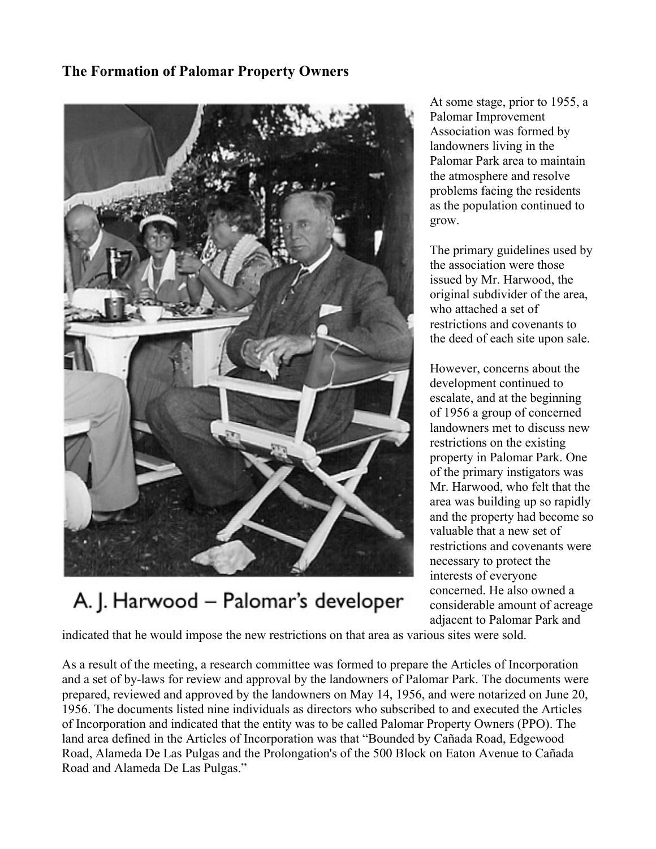### **The Formation of Palomar Property Owners**



# A. J. Harwood - Palomar's developer

At some stage, prior to 1955, a Palomar Improvement Association was formed by landowners living in the Palomar Park area to maintain the atmosphere and resolve problems facing the residents as the population continued to grow.

The primary guidelines used by the association were those issued by Mr. Harwood, the original subdivider of the area, who attached a set of restrictions and covenants to the deed of each site upon sale.

However, concerns about the development continued to escalate, and at the beginning of 1956 a group of concerned landowners met to discuss new restrictions on the existing property in Palomar Park. One of the primary instigators was Mr. Harwood, who felt that the area was building up so rapidly and the property had become so valuable that a new set of restrictions and covenants were necessary to protect the interests of everyone concerned. He also owned a considerable amount of acreage adjacent to Palomar Park and

indicated that he would impose the new restrictions on that area as various sites were sold.

As a result of the meeting, a research committee was formed to prepare the Articles of Incorporation and a set of by-laws for review and approval by the landowners of Palomar Park. The documents were prepared, reviewed and approved by the landowners on May 14, 1956, and were notarized on June 20, 1956. The documents listed nine individuals as directors who subscribed to and executed the Articles of Incorporation and indicated that the entity was to be called Palomar Property Owners (PPO). The land area defined in the Articles of Incorporation was that "Bounded by Cañada Road, Edgewood Road, Alameda De Las Pulgas and the Prolongation's of the 500 Block on Eaton Avenue to Cañada Road and Alameda De Las Pulgas."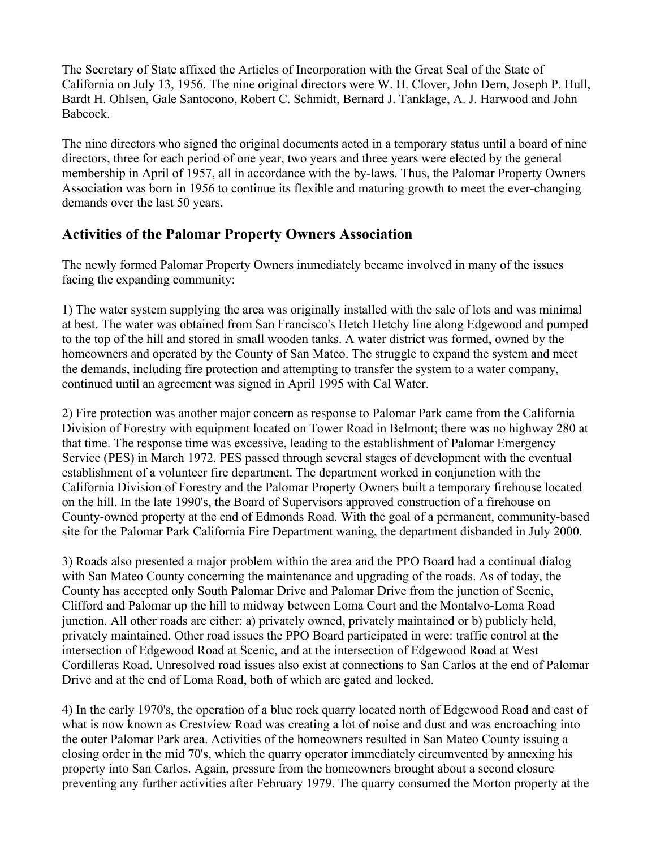The Secretary of State affixed the Articles of Incorporation with the Great Seal of the State of California on July 13, 1956. The nine original directors were W. H. Clover, John Dern, Joseph P. Hull, Bardt H. Ohlsen, Gale Santocono, Robert C. Schmidt, Bernard J. Tanklage, A. J. Harwood and John Babcock.

The nine directors who signed the original documents acted in a temporary status until a board of nine directors, three for each period of one year, two years and three years were elected by the general membership in April of 1957, all in accordance with the by-laws. Thus, the Palomar Property Owners Association was born in 1956 to continue its flexible and maturing growth to meet the ever-changing demands over the last 50 years.

### **Activities of the Palomar Property Owners Association**

The newly formed Palomar Property Owners immediately became involved in many of the issues facing the expanding community:

1) The water system supplying the area was originally installed with the sale of lots and was minimal at best. The water was obtained from San Francisco's Hetch Hetchy line along Edgewood and pumped to the top of the hill and stored in small wooden tanks. A water district was formed, owned by the homeowners and operated by the County of San Mateo. The struggle to expand the system and meet the demands, including fire protection and attempting to transfer the system to a water company, continued until an agreement was signed in April 1995 with Cal Water.

2) Fire protection was another major concern as response to Palomar Park came from the California Division of Forestry with equipment located on Tower Road in Belmont; there was no highway 280 at that time. The response time was excessive, leading to the establishment of Palomar Emergency Service (PES) in March 1972. PES passed through several stages of development with the eventual establishment of a volunteer fire department. The department worked in conjunction with the California Division of Forestry and the Palomar Property Owners built a temporary firehouse located on the hill. In the late 1990's, the Board of Supervisors approved construction of a firehouse on County-owned property at the end of Edmonds Road. With the goal of a permanent, community-based site for the Palomar Park California Fire Department waning, the department disbanded in July 2000.

3) Roads also presented a major problem within the area and the PPO Board had a continual dialog with San Mateo County concerning the maintenance and upgrading of the roads. As of today, the County has accepted only South Palomar Drive and Palomar Drive from the junction of Scenic, Clifford and Palomar up the hill to midway between Loma Court and the Montalvo-Loma Road junction. All other roads are either: a) privately owned, privately maintained or b) publicly held, privately maintained. Other road issues the PPO Board participated in were: traffic control at the intersection of Edgewood Road at Scenic, and at the intersection of Edgewood Road at West Cordilleras Road. Unresolved road issues also exist at connections to San Carlos at the end of Palomar Drive and at the end of Loma Road, both of which are gated and locked.

4) In the early 1970's, the operation of a blue rock quarry located north of Edgewood Road and east of what is now known as Crestview Road was creating a lot of noise and dust and was encroaching into the outer Palomar Park area. Activities of the homeowners resulted in San Mateo County issuing a closing order in the mid 70's, which the quarry operator immediately circumvented by annexing his property into San Carlos. Again, pressure from the homeowners brought about a second closure preventing any further activities after February 1979. The quarry consumed the Morton property at the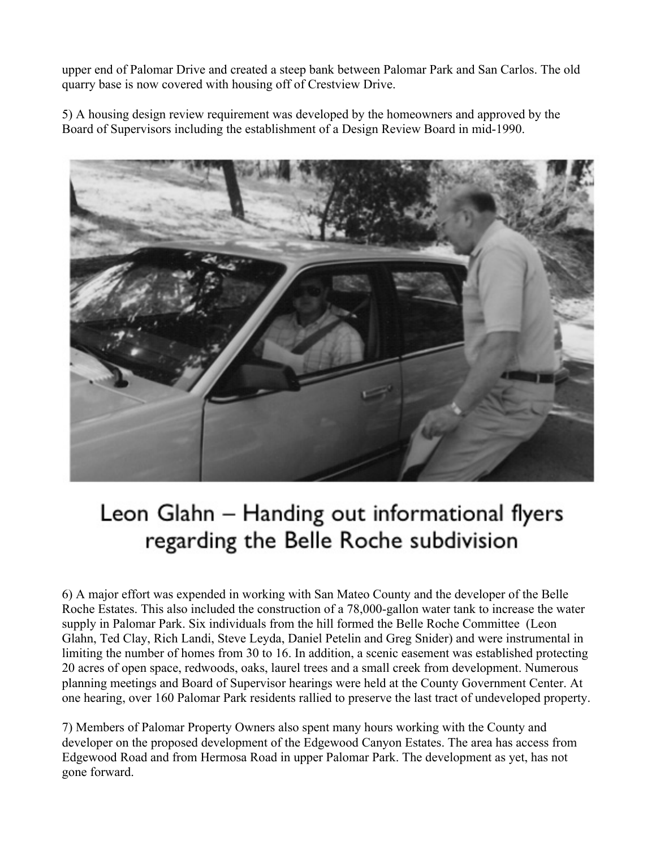upper end of Palomar Drive and created a steep bank between Palomar Park and San Carlos. The old quarry base is now covered with housing off of Crestview Drive.

5) A housing design review requirement was developed by the homeowners and approved by the Board of Supervisors including the establishment of a Design Review Board in mid-1990.



# Leon Glahn - Handing out informational flyers regarding the Belle Roche subdivision

6) A major effort was expended in working with San Mateo County and the developer of the Belle Roche Estates. This also included the construction of a 78,000-gallon water tank to increase the water supply in Palomar Park. Six individuals from the hill formed the Belle Roche Committee (Leon Glahn, Ted Clay, Rich Landi, Steve Leyda, Daniel Petelin and Greg Snider) and were instrumental in limiting the number of homes from 30 to 16. In addition, a scenic easement was established protecting 20 acres of open space, redwoods, oaks, laurel trees and a small creek from development. Numerous planning meetings and Board of Supervisor hearings were held at the County Government Center. At one hearing, over 160 Palomar Park residents rallied to preserve the last tract of undeveloped property.

7) Members of Palomar Property Owners also spent many hours working with the County and developer on the proposed development of the Edgewood Canyon Estates. The area has access from Edgewood Road and from Hermosa Road in upper Palomar Park. The development as yet, has not gone forward.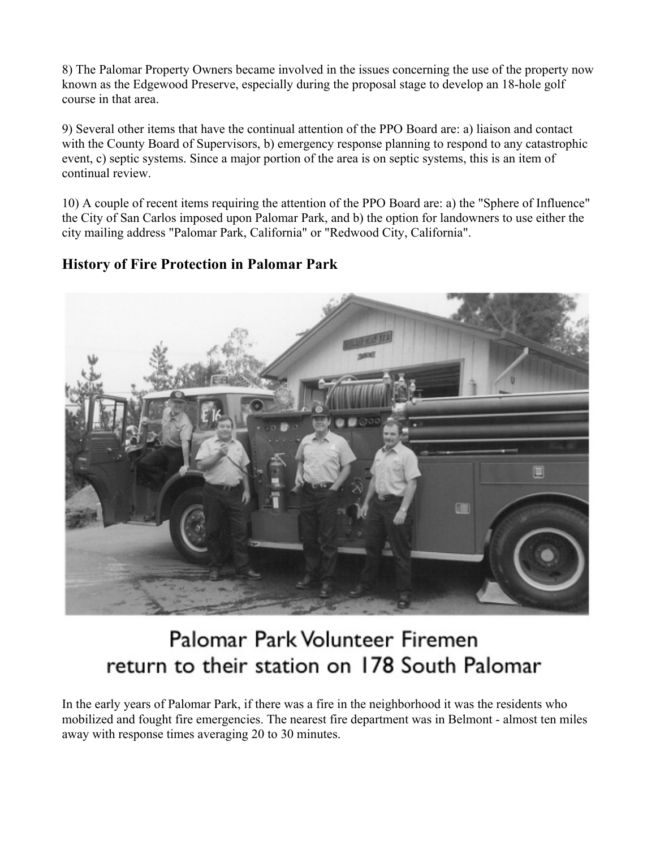8) The Palomar Property Owners became involved in the issues concerning the use of the property now known as the Edgewood Preserve, especially during the proposal stage to develop an 18-hole golf course in that area.

9) Several other items that have the continual attention of the PPO Board are: a) liaison and contact with the County Board of Supervisors, b) emergency response planning to respond to any catastrophic event, c) septic systems. Since a major portion of the area is on septic systems, this is an item of continual review.

10) A couple of recent items requiring the attention of the PPO Board are: a) the "Sphere of Influence" the City of San Carlos imposed upon Palomar Park, and b) the option for landowners to use either the city mailing address "Palomar Park, California" or "Redwood City, California".

### **History of Fire Protection in Palomar Park**



# Palomar Park Volunteer Firemen return to their station on 178 South Palomar

In the early years of Palomar Park, if there was a fire in the neighborhood it was the residents who mobilized and fought fire emergencies. The nearest fire department was in Belmont - almost ten miles away with response times averaging 20 to 30 minutes.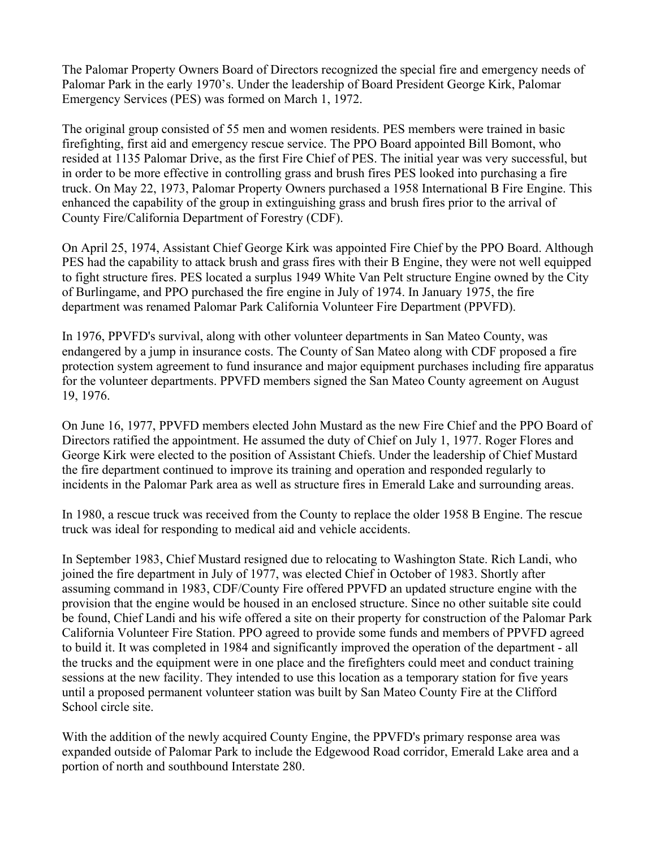The Palomar Property Owners Board of Directors recognized the special fire and emergency needs of Palomar Park in the early 1970's. Under the leadership of Board President George Kirk, Palomar Emergency Services (PES) was formed on March 1, 1972.

The original group consisted of 55 men and women residents. PES members were trained in basic firefighting, first aid and emergency rescue service. The PPO Board appointed Bill Bomont, who resided at 1135 Palomar Drive, as the first Fire Chief of PES. The initial year was very successful, but in order to be more effective in controlling grass and brush fires PES looked into purchasing a fire truck. On May 22, 1973, Palomar Property Owners purchased a 1958 International B Fire Engine. This enhanced the capability of the group in extinguishing grass and brush fires prior to the arrival of County Fire/California Department of Forestry (CDF).

On April 25, 1974, Assistant Chief George Kirk was appointed Fire Chief by the PPO Board. Although PES had the capability to attack brush and grass fires with their B Engine, they were not well equipped to fight structure fires. PES located a surplus 1949 White Van Pelt structure Engine owned by the City of Burlingame, and PPO purchased the fire engine in July of 1974. In January 1975, the fire department was renamed Palomar Park California Volunteer Fire Department (PPVFD).

In 1976, PPVFD's survival, along with other volunteer departments in San Mateo County, was endangered by a jump in insurance costs. The County of San Mateo along with CDF proposed a fire protection system agreement to fund insurance and major equipment purchases including fire apparatus for the volunteer departments. PPVFD members signed the San Mateo County agreement on August 19, 1976.

On June 16, 1977, PPVFD members elected John Mustard as the new Fire Chief and the PPO Board of Directors ratified the appointment. He assumed the duty of Chief on July 1, 1977. Roger Flores and George Kirk were elected to the position of Assistant Chiefs. Under the leadership of Chief Mustard the fire department continued to improve its training and operation and responded regularly to incidents in the Palomar Park area as well as structure fires in Emerald Lake and surrounding areas.

In 1980, a rescue truck was received from the County to replace the older 1958 B Engine. The rescue truck was ideal for responding to medical aid and vehicle accidents.

In September 1983, Chief Mustard resigned due to relocating to Washington State. Rich Landi, who joined the fire department in July of 1977, was elected Chief in October of 1983. Shortly after assuming command in 1983, CDF/County Fire offered PPVFD an updated structure engine with the provision that the engine would be housed in an enclosed structure. Since no other suitable site could be found, Chief Landi and his wife offered a site on their property for construction of the Palomar Park California Volunteer Fire Station. PPO agreed to provide some funds and members of PPVFD agreed to build it. It was completed in 1984 and significantly improved the operation of the department - all the trucks and the equipment were in one place and the firefighters could meet and conduct training sessions at the new facility. They intended to use this location as a temporary station for five years until a proposed permanent volunteer station was built by San Mateo County Fire at the Clifford School circle site.

With the addition of the newly acquired County Engine, the PPVFD's primary response area was expanded outside of Palomar Park to include the Edgewood Road corridor, Emerald Lake area and a portion of north and southbound Interstate 280.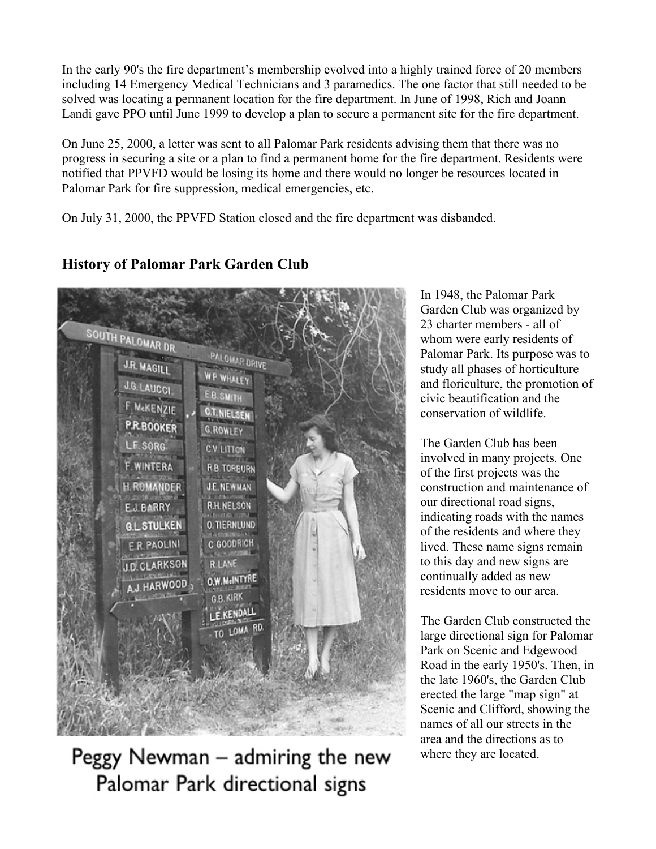In the early 90's the fire department's membership evolved into a highly trained force of 20 members including 14 Emergency Medical Technicians and 3 paramedics. The one factor that still needed to be solved was locating a permanent location for the fire department. In June of 1998, Rich and Joann Landi gave PPO until June 1999 to develop a plan to secure a permanent site for the fire department.

On June 25, 2000, a letter was sent to all Palomar Park residents advising them that there was no progress in securing a site or a plan to find a permanent home for the fire department. Residents were notified that PPVFD would be losing its home and there would no longer be resources located in Palomar Park for fire suppression, medical emergencies, etc.

On July 31, 2000, the PPVFD Station closed and the fire department was disbanded.



## **History of Palomar Park Garden Club**

Peggy Newman - admiring the new Palomar Park directional signs

In 1948, the Palomar Park Garden Club was organized by 23 charter members - all of whom were early residents of Palomar Park. Its purpose was to study all phases of horticulture and floriculture, the promotion of civic beautification and the conservation of wildlife.

The Garden Club has been involved in many projects. One of the first projects was the construction and maintenance of our directional road signs, indicating roads with the names of the residents and where they lived. These name signs remain to this day and new signs are continually added as new residents move to our area.

The Garden Club constructed the large directional sign for Palomar Park on Scenic and Edgewood Road in the early 1950's. Then, in the late 1960's, the Garden Club erected the large "map sign" at Scenic and Clifford, showing the names of all our streets in the area and the directions as to where they are located.